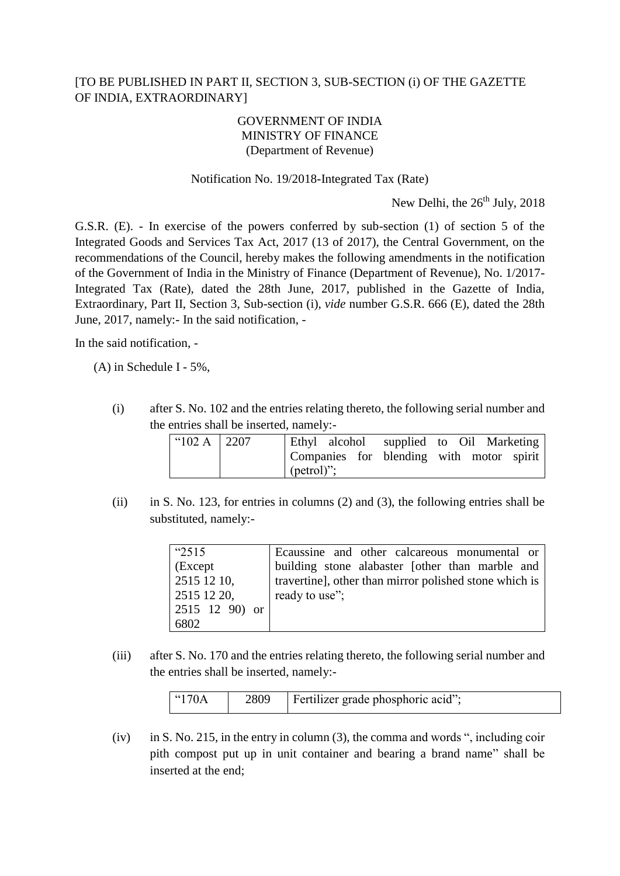## [TO BE PUBLISHED IN PART II, SECTION 3, SUB-SECTION (i) OF THE GAZETTE OF INDIA, EXTRAORDINARY]

## GOVERNMENT OF INDIA MINISTRY OF FINANCE (Department of Revenue)

## Notification No. 19/2018-Integrated Tax (Rate)

New Delhi, the  $26<sup>th</sup>$  July,  $2018$ 

G.S.R. (E). - In exercise of the powers conferred by sub-section (1) of section 5 of the Integrated Goods and Services Tax Act, 2017 (13 of 2017), the Central Government, on the recommendations of the Council, hereby makes the following amendments in the notification of the Government of India in the Ministry of Finance (Department of Revenue), No. 1/2017- Integrated Tax (Rate), dated the 28th June, 2017, published in the Gazette of India, Extraordinary, Part II, Section 3, Sub-section (i), *vide* number G.S.R. 666 (E), dated the 28th June, 2017, namely:- In the said notification, -

In the said notification, -

(A) in Schedule I - 5%,

(i) after S. No. 102 and the entries relating thereto, the following serial number and the entries shall be inserted, namely:-

| " $102 \text{ A}$ 2207 | Ethyl alcohol supplied to Oil Marketing                    |  |  |  |
|------------------------|------------------------------------------------------------|--|--|--|
|                        | Companies for blending with motor spirit<br>$[$ (petrol)"; |  |  |  |

(ii) in S. No. 123, for entries in columns (2) and (3), the following entries shall be substituted, namely:-

| "2515"           | Ecaussine and other calcareous monumental or           |
|------------------|--------------------------------------------------------|
| (Except          | building stone alabaster [other than marble and        |
| $2515\,12\,10$ , | travertine], other than mirror polished stone which is |
| 2515 12 20,      | ready to use";                                         |
| 2515 12 90) or   |                                                        |
| 6802             |                                                        |

(iii) after S. No. 170 and the entries relating thereto, the following serial number and the entries shall be inserted, namely:-

| $\mid$ "170A | 2809 | Fertilizer grade phosphoric acid"; |
|--------------|------|------------------------------------|
|--------------|------|------------------------------------|

(iv) in S. No. 215, in the entry in column (3), the comma and words ", including coir pith compost put up in unit container and bearing a brand name" shall be inserted at the end;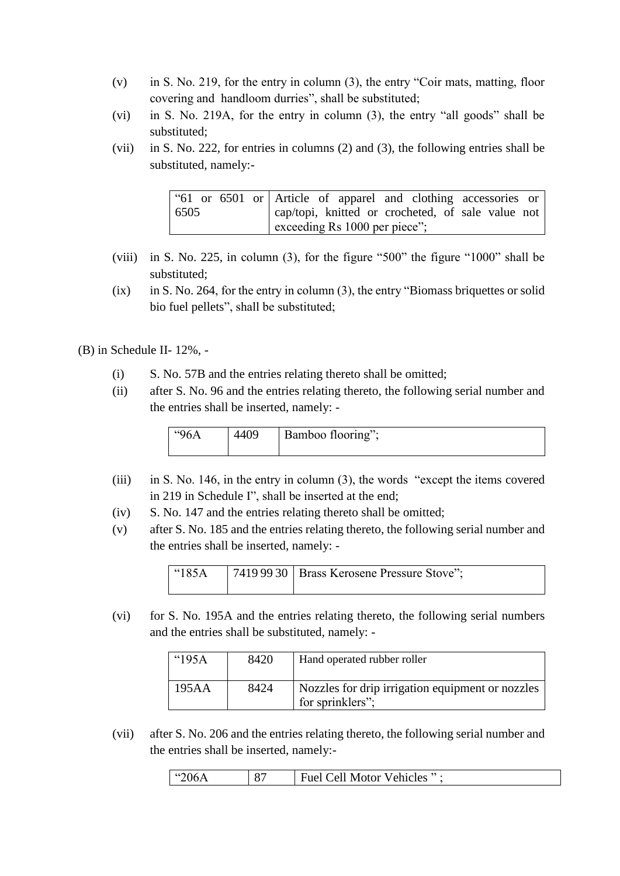- (v) in S. No. 219, for the entry in column (3), the entry "Coir mats, matting, floor covering and handloom durries", shall be substituted;
- (vi) in S. No. 219A, for the entry in column (3), the entry "all goods" shall be substituted;
- (vii) in S. No. 222, for entries in columns (2) and (3), the following entries shall be substituted, namely:-

|      |  | "61 or 6501 or Article of apparel and clothing accessories or |  |  |  |  |  |
|------|--|---------------------------------------------------------------|--|--|--|--|--|
| 6505 |  | cap/topi, knitted or crocheted, of sale value not             |  |  |  |  |  |
|      |  | exceeding Rs 1000 per piece";                                 |  |  |  |  |  |

- (viii) in S. No. 225, in column (3), for the figure "500" the figure "1000" shall be substituted;
- (ix) in S. No. 264, for the entry in column (3), the entry "Biomass briquettes or solid bio fuel pellets", shall be substituted;

(B) in Schedule II- 12%, -

- (i) S. No. 57B and the entries relating thereto shall be omitted;
- (ii) after S. No. 96 and the entries relating thereto, the following serial number and the entries shall be inserted, namely: -

| "96A | 4409 | Bamboo flooring"; |
|------|------|-------------------|
|      |      |                   |

- (iii) in S. No. 146, in the entry in column (3), the words "except the items covered in 219 in Schedule I", shall be inserted at the end;
- (iv) S. No. 147 and the entries relating thereto shall be omitted;
- (v) after S. No. 185 and the entries relating thereto, the following serial number and the entries shall be inserted, namely: -

| $\mid$ "185A | 7419 99 30   Brass Kerosene Pressure Stove"; |
|--------------|----------------------------------------------|
|              |                                              |

(vi) for S. No. 195A and the entries relating thereto, the following serial numbers and the entries shall be substituted, namely: -

| $^{\circ}195A$ | 8420 | Hand operated rubber roller                                          |
|----------------|------|----------------------------------------------------------------------|
| 195AA          | 8424 | Nozzles for drip irrigation equipment or nozzles<br>for sprinklers"; |

(vii) after S. No. 206 and the entries relating thereto, the following serial number and the entries shall be inserted, namely:-

| 206A | oп | Cell Motor Vehicles |
|------|----|---------------------|
| .    | Ō. | Fuel $C_6$          |
|      |    |                     |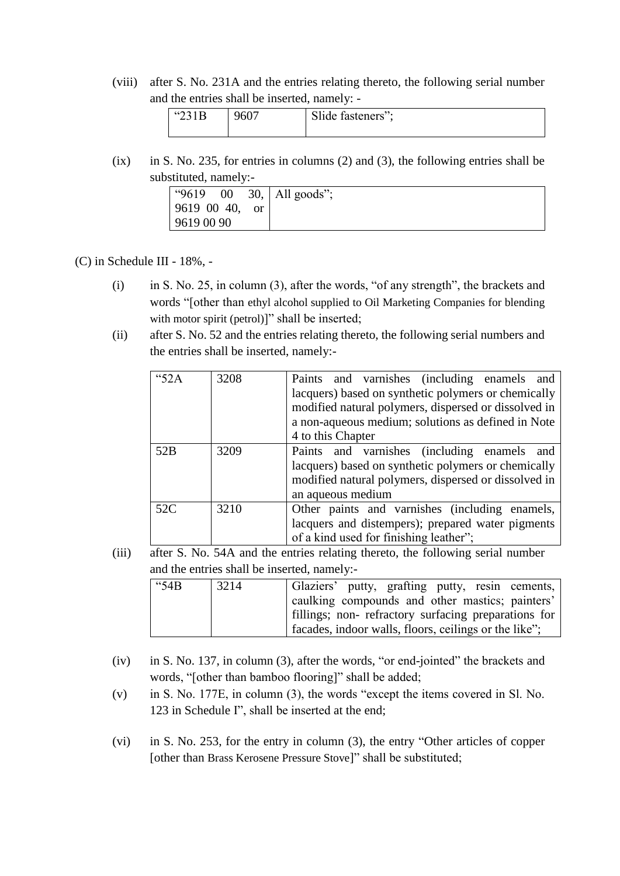(viii) after S. No. 231A and the entries relating thereto, the following serial number and the entries shall be inserted, namely: -

| $\frac{14}{21}$<br>2.1D | 9607 | Slide fasteners"; |
|-------------------------|------|-------------------|
|-------------------------|------|-------------------|

(ix) in S. No. 235, for entries in columns (2) and (3), the following entries shall be substituted, namely:-

| " $9619$<br>00 |    | $30,$ All goods"; |
|----------------|----|-------------------|
| 9619 00 40,    | or |                   |
| 9619 00 90     |    |                   |

(C) in Schedule III - 18%, -

- (i) in S. No. 25, in column (3), after the words, "of any strength", the brackets and words "[other than ethyl alcohol supplied to Oil Marketing Companies for blending with motor spirit (petrol)]" shall be inserted;
- (ii) after S. No. 52 and the entries relating thereto, the following serial numbers and the entries shall be inserted, namely:-

| 4452A | 3208 | Paints and varnishes (including enamels and          |
|-------|------|------------------------------------------------------|
|       |      | lacquers) based on synthetic polymers or chemically  |
|       |      | modified natural polymers, dispersed or dissolved in |
|       |      | a non-aqueous medium; solutions as defined in Note   |
|       |      | 4 to this Chapter                                    |
| 52B   | 3209 | Paints and varnishes (including enamels and          |
|       |      | lacquers) based on synthetic polymers or chemically  |
|       |      | modified natural polymers, dispersed or dissolved in |
|       |      | an aqueous medium                                    |
| 52C   | 3210 | Other paints and varnishes (including enamels,       |
|       |      | lacquers and distempers); prepared water pigments    |
|       |      | of a kind used for finishing leather";               |

(iii) after S. No. 54A and the entries relating thereto, the following serial number and the entries shall be inserted, namely:-

| " $54B$ | 3214 | Glaziers' putty, grafting putty, resin cements,       |
|---------|------|-------------------------------------------------------|
|         |      | caulking compounds and other mastics; painters'       |
|         |      | fillings; non- refractory surfacing preparations for  |
|         |      | facades, indoor walls, floors, ceilings or the like"; |

- (iv) in S. No. 137, in column (3), after the words, "or end-jointed" the brackets and words, "[other than bamboo flooring]" shall be added;
- (v) in S. No. 177E, in column (3), the words "except the items covered in Sl. No. 123 in Schedule I", shall be inserted at the end;
- (vi) in S. No. 253, for the entry in column (3), the entry "Other articles of copper [other than Brass Kerosene Pressure Stove]" shall be substituted;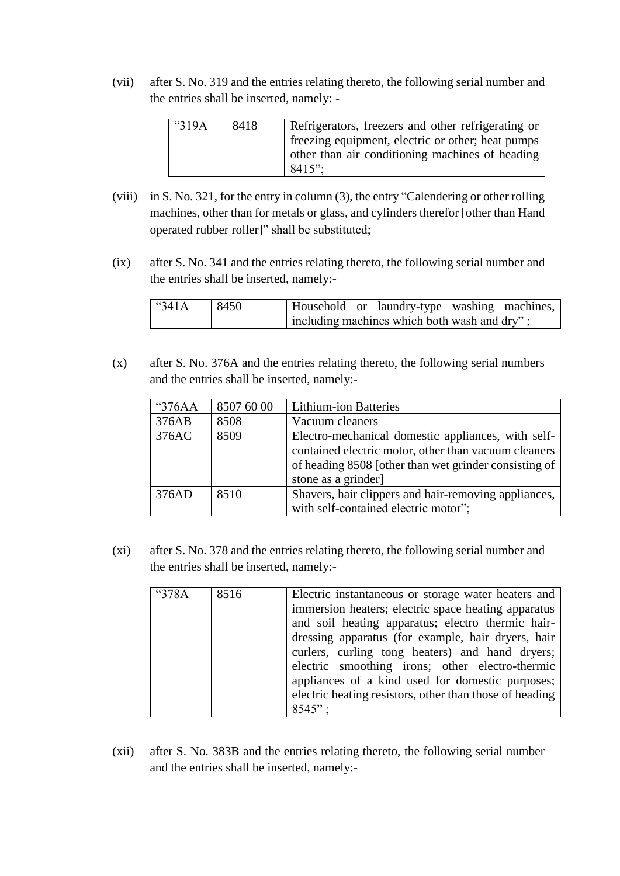(vii) after S. No. 319 and the entries relating thereto, the following serial number and the entries shall be inserted, namely: -

| "319A | 8418 | Refrigerators, freezers and other refrigerating or |
|-------|------|----------------------------------------------------|
|       |      | freezing equipment, electric or other; heat pumps  |
|       |      | other than air conditioning machines of heading    |
|       |      | $8415$ ":                                          |

- (viii) in S. No. 321, for the entry in column (3), the entry "Calendering or other rolling machines, other than for metals or glass, and cylinders therefor [other than Hand operated rubber roller]" shall be substituted;
- (ix) after S. No. 341 and the entries relating thereto, the following serial number and the entries shall be inserted, namely:-

| $^{\circ}341A$ | 8450 |  | Household or laundry-type washing machines,  |  |
|----------------|------|--|----------------------------------------------|--|
|                |      |  | including machines which both wash and dry"; |  |

(x) after S. No. 376A and the entries relating thereto, the following serial numbers and the entries shall be inserted, namely:-

| "376AA | 8507 60 00 | <b>Lithium-ion Batteries</b>                          |
|--------|------------|-------------------------------------------------------|
| 376AB  | 8508       | Vacuum cleaners                                       |
| 376AC  | 8509       | Electro-mechanical domestic appliances, with self-    |
|        |            | contained electric motor, other than vacuum cleaners  |
|        |            | of heading 8508 [other than wet grinder consisting of |
|        |            | stone as a grinder]                                   |
| 376AD  | 8510       | Shavers, hair clippers and hair-removing appliances,  |
|        |            | with self-contained electric motor";                  |

(xi) after S. No. 378 and the entries relating thereto, the following serial number and the entries shall be inserted, namely:-

| " $378A$ | 8516 | Electric instantaneous or storage water heaters and     |
|----------|------|---------------------------------------------------------|
|          |      | immersion heaters; electric space heating apparatus     |
|          |      | and soil heating apparatus; electro thermic hair-       |
|          |      | dressing apparatus (for example, hair dryers, hair      |
|          |      | curlers, curling tong heaters) and hand dryers;         |
|          |      | electric smoothing irons; other electro-thermic         |
|          |      | appliances of a kind used for domestic purposes;        |
|          |      | electric heating resistors, other than those of heading |
|          |      | $8545$ ":                                               |

(xii) after S. No. 383B and the entries relating thereto, the following serial number and the entries shall be inserted, namely:-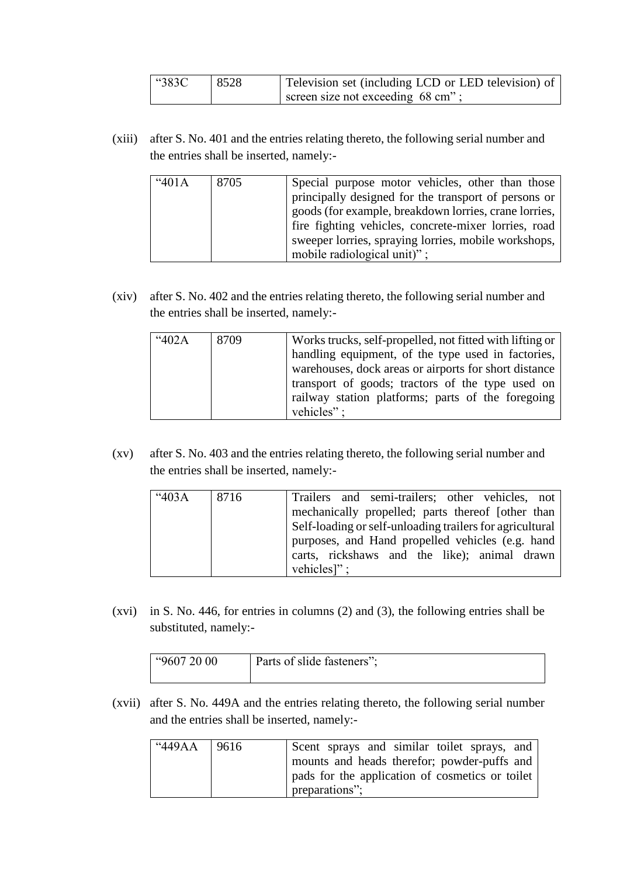| "383C | 8528 | Television set (including LCD or LED television) of |  |
|-------|------|-----------------------------------------------------|--|
|       |      | screen size not exceeding 68 cm";                   |  |

(xiii) after S. No. 401 and the entries relating thereto, the following serial number and the entries shall be inserted, namely:-

| "401A | 8705 | Special purpose motor vehicles, other than those<br>principally designed for the transport of persons or<br>goods (for example, breakdown lorries, crane lorries,<br>fire fighting vehicles, concrete-mixer lorries, road<br>sweeper lorries, spraying lorries, mobile workshops,<br>mobile radiological unit)"; |
|-------|------|------------------------------------------------------------------------------------------------------------------------------------------------------------------------------------------------------------------------------------------------------------------------------------------------------------------|
|-------|------|------------------------------------------------------------------------------------------------------------------------------------------------------------------------------------------------------------------------------------------------------------------------------------------------------------------|

(xiv) after S. No. 402 and the entries relating thereto, the following serial number and the entries shall be inserted, namely:-

| 402A | 8709 | Works trucks, self-propelled, not fitted with lifting or |
|------|------|----------------------------------------------------------|
|      |      | handling equipment, of the type used in factories,       |
|      |      | warehouses, dock areas or airports for short distance    |
|      |      | transport of goods; tractors of the type used on         |
|      |      | railway station platforms; parts of the foregoing        |
|      |      | vehicles":                                               |

(xv) after S. No. 403 and the entries relating thereto, the following serial number and the entries shall be inserted, namely:-

| "403A | 8716 | Trailers and semi-trailers; other vehicles, not          |
|-------|------|----------------------------------------------------------|
|       |      | mechanically propelled; parts thereof [other than        |
|       |      | Self-loading or self-unloading trailers for agricultural |
|       |      | purposes, and Hand propelled vehicles (e.g. hand         |
|       |      | carts, rickshaws and the like); animal drawn             |
|       |      | vehicles]";                                              |

(xvi) in S. No. 446, for entries in columns (2) and (3), the following entries shall be substituted, namely:-

| Parts of slide fasteners";<br>"9607 20 00" |  |
|--------------------------------------------|--|
|--------------------------------------------|--|

(xvii) after S. No. 449A and the entries relating thereto, the following serial number and the entries shall be inserted, namely:-

| "449AA | 9616 | Scent sprays and similar toilet sprays, and<br>mounts and heads therefor; powder-puffs and |
|--------|------|--------------------------------------------------------------------------------------------|
|        |      | pads for the application of cosmetics or toilet<br>preparations";                          |